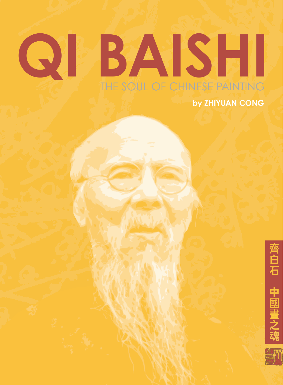# **QI BAISHI** THE SOUL OF CHINESE PAINTING **by ZHIYUAN CONG**



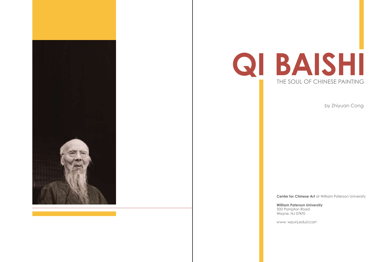by Zhiyuan Cong

**Center for Chinese Art** at William Paterson University

**William Paterson University**

300 Pompton Road Wayne, NJ 07470

www. wpunj.edu/ccart



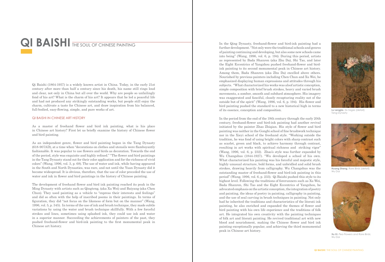## QI BAISHI THE SOUL OF CHINESE PAINTING

Qi Baishi (1864-1957) is a widely known artist in China. Today, in the early 21st century after more than half a century since his death, his name still rings loud and clear, not only in China but all over the world. Why are people so unfailingly fond of his art? What is the charm of his art? It appears that he led a peaceful life and had not produced any strikingly outstanding works, but people still enjoy the charm, cultivate a taste for Chinese art, and draw inspiration from his balanced, full-bodied, easy-flowing, simple, and pure works of art.

As an independent genre, flower and bird painting began in the Tang Dynasty (618-907AD), at a time when "decorations on clothes and utensils were flamboyantly fashionable. It was popular to use flowers and birds as decoration. Towards the end of the period, style was exquisite and highly refined." "The flower and bird paintings in the Tang Dynasty stand out for their color application and for the richness of vivid colors" (Wang, 1996, vol. 3, p. 68). The use of water and ink, while having appeared in the South and North Dynasties, was rare, and not until the Yuan Dynasty did it become widespread. It is obvious, therefore, that the use of color preceded the use of water and ink in flower and bird paintings in the history of Chinese painting.

#### QI BAISHI IN CHINESE ART HISTORY

As a master of freehand flower and bird ink painting, what is his place in Chinese art history? First let us briefly examine the history of Chinese flower and bird painting.

The development of freehand flower and bird ink painting reached its peak in the Ming Dynasty with artists such as Qingteng, (aka Xu Wei) and Baiyang (aka Chen Chun). They used painting as a vehicle to "express their interests and feelings" and did so often with the help of inscribed poems in their paintings. In terms of figuration, they did "not focus on the likeness of form but on the manner" (Wang, 1996, vol. 5, p. 345). In terms of the use of ink and brush technique, they made subtle variations by using the water and brush technique skillfully. With a few forceful strokes and lines, sometimes using splashed ink, they could use ink and water in a superior manner. Succeeding the achievements of painters of the past, they pushed freehand-flower and bird-ink painting to the first monumental peak in Chinese art history.

In the Qing Dynasty, freehand-flower and bird-ink painting had a further development. "Not only were the traditional schools and genres of painting continuing and developing, but also some new schools came into being" (Wang, 1996, vol. 6, p. 194). During this period, artists as represented by Bada Shanren (aka Zhu Da), Shi Tao, and later the Eight Eccentrics of Yangzhou pushed freehand-flower and birdink painting to its second monumental peak in Chinese art history. Among them, Bada Shanren (aka Zhu Da) excelled above others. Nourished by previous painters including Chen Chun and Xu Wei, he emphasized displaying human expressions and attitudes through his subjects. "What characterized his works was aloof artistic conception, simple composition with brief brush strokes, heavy and varied brush movements, a somber, smooth and subdued atmosphere. His imagery was exaggerated and fanciful, closely recapturing reality not of the outside but of the spirit" (Wang, 1996, vol. 6, p. 194). His flower and bird painting pushed the standard to a new historical high in terms of its essence, conception and composition.

In the period from the end of the 19th century through the early 20th century, freehand-flower and bird-ink painting had another revival initiated by the painter Zhao Zhiqian. His style of flower and bird painting was neither in the Gongbi school of fine brushwork technique nor in the Xieyi school of the freehand style. "Working outside the tradition, he was fond of using bright colors with sharp contrast such as scarlet, green and black, to achieve harmony through contrast, resulting in art works with spiritual richness and striking vigor" (Wang, 1996, vol. 6, p. 232). Zhao's style was further expanded by Wu Changshuo (1844-1927). "Wu developed a school of his own. What characterized his painting was his forceful and majestic style, highly unusual structure, bold forms, and unbridled and solid brush strokes, drawing heavily from calligraphy. Wu Changshuo was the outstanding master of freehand-flower and bird-ink painting in this period" (Wang, 1996, vol. 6, p. 233). Qi Baishi pushed this style to its highest level. Following the traditions of forerunners such as Xu Wei, Bada Shanren, Shi Tao and the Eight Eccentrics of Yangzhou, he advocated emphasis on the artistic conception, the integration of poetry and painting, the ideas of poetry in painting, calligraphy in painting, and the use of seal carving in brush techniques in painting. Not only had he inherited the traditions and characteristics of the literati ink painting, he also enriched and expanded the themes of flower and bird painting with his own life experience and the traditions of folk art. He integrated his own creativity with the painting techniques of folk art and literati painting. He revived traditional art with new blood and nourishment, making the Chinese flower and bird ink painting exceptionally popular, and achieving the third monumental peak in Chinese art history.



**Lu Lengjia**, *Six Sages* (detail); Tang Dynasty



**Huang Sheng**, *Rare Birds* (detail); Wu Dai



**Xu Xi**, *Pea Flowers and Rare Birds*; Wu Dai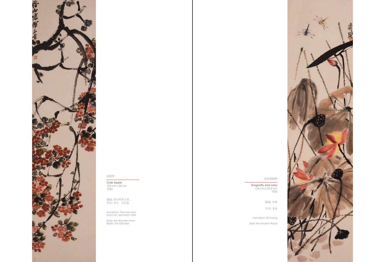**Crab Apple** 133 cm x 33 cm 1934

**Dragonfly and Lotus** 134 cm x 33.5 cm 1935



#### 海棠图

荷花蜻蜓图

题跋:借山吟馆主者。 印章:木人, 白石翁

Inscription: The man who owns the Jieshanyin Villa

Seals: the Wooden Man; Baishi, the Old Man

题跋:齐璜

印章:老木

Inscription: Qi Huang

Seal: the Ancient Wood

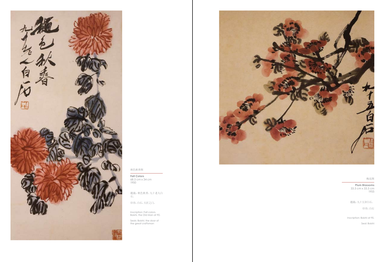**Fall Colors** 68.5 cm x 34 cm 1950

**Plum Blossoms** 33.5 cm x 33.5 cm 1955



秋色秋香图

梅花图

题跋:秋色秋香。九十老人白 石。

印章:白石,大匠之门。

Inscription: Fall colors. Baishi, the Old Man at 90.

Seals: Baishi; the door of the great craftsman



题跋:九十五岁白石。

印章:白石

Inscription: Baishi at 95.

Seal: Baishi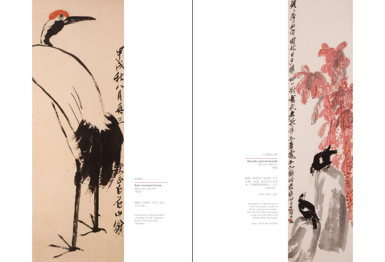**Red-crowned Crane** 88.5 cm x 40 cm 1934

**Mynahs and Amaranth**

135 cm x 33 cm 1936



仙鹤图

八哥雁来红图

题跋:甲戍秋八月再三更正。 白石山翁。

Inscription: Made several changes in Fall, Auguest. Baishi, the Mountain Old Man

题跋:顽顽拳石布园林,日夕 归栖一对禽。我老欲归无著 处,不如鸜鸪鹆最伤心。白石

山翁并提。

印章:阿芝,老白



Inscription: A few rocks in the courtyard; a pair of birds coming at sunset. I am old but have nowhere to go. My sad fate is no better than the brids.

Seal: Azhi; the old Bai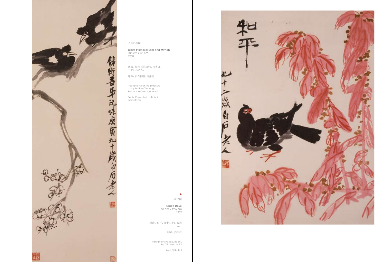**White Plum Blossom and Mynah** 105 cm x 35 cm 1950

> **Peace Dove** 68 cm x 49.5 cm 1952



#### 八哥白梅图

和平图

题跋:铁衡吾弟玩味。庚寅九 十岁白石老人。

印章:白石相赠,寄萍堂

Inscription: For the pleasure of my brother Tieheng. Baishi, the Old Man, at 90

Seals: Presented by Baishi; Jipingtang

 $\blacktriangleright$ 

题跋:和平,九十二岁白石老 人。

印章:齐白石

Inscription: Peace, Baishi, the Old Man at 92

Seal: Qi Baishi

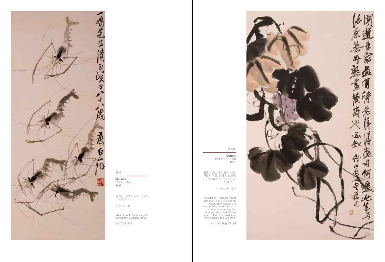**Shrimps** 82 cm x 34 cm 1948



虾图

题跋:一鸣先生清正。戊子八 十八岁齐白石。

印章:齐白石

Inscription: To Mr Yi Ming for correction. Qi Baishi, at 88.

Seal: Qi Baishi

**Grapes** 87.5 cm x 47 cm 1927

#### 葡萄图

题跋:闻道王家画有诗,老萍 得画句何迟。此生与酒原无 分,熟尽葡萄也不知。借山老 人书旧句。

印章:老苹,老齐

Inscription: I hear Mr Wang can paint and write poems easily. How come I am always slow? I have no luck with wine my whole life. Ripe grapes wouldn't help much either. A few old lines from Jieshan, the Old Man.

Seals: Old Ping; Old Qi

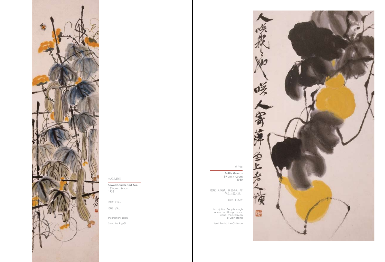

**Towel Gourds and Bee** 133 cm x 34 cm 1938

### 葫芦图

**Bottle Gourds**<br>89 cm x 42 cm - インタン 2008年 2009年 2009年 2009年 2009年 2009年 2009年 2009年 2009年 2009年 2009年 2009年 2009年 2009年 2009年 2009年 2009年 20<br>1930 - 1930 - 1930 - 1930 - 1930 - 1930 - 1930 - 1930 - 1930 - 1930 - 1930 - 1930 - 1930 - 1930 - 1930 - 1930

题跋:白石。

印章:齐大

Inscription: Baishi

Seal: the Big Qi

题跋:人笑我,我也小人。寄 萍堂上老人璜。

印章:白石翁

Inscription: People laugh at me and I laugh back. Huang, the Old Man of Jipingtang

Seal: Baishi, the Old Man

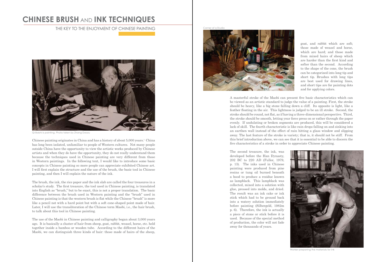Chinese painting originates in China and has a history of about 5,000 years.<sup>1</sup> China has long been isolated, unfamiliar to people of Western cultures. Not many people outside China have the opportunity to view the artistic works produced by Chinese artists and when they do have the opportunity, they do not really understand them because the techniques used in Chinese painting are very different from those in Western paintings. In the following text, I would like to introduce some basic concepts in Chinese painting so more people can appreciate exhibited Chinese art. I will first explain the structure and the use of the brush, the basic tool in Chinese painting, and then I will explain the nature of the ink.

The brush, the ink, the rice paper and the ink slab are called the four treasures in a scholar's study. The first treasure, the tool used in Chinese painting, is translated into English as "brush," but to be exact, this is not a proper translation. The basic difference between the brush used in Western painting and the "brush" used in Chinese painting is that the western brush is flat while the Chinese "brush" is more like a pencil not with a hard point but with a soft cone-shaped point made of hair. Later, I will use the transliteration of the Chinese term Maobi, i.e., the hair brush, to talk about this tool in Chinese painting.

The use of the Maobi in Chinese painting and calligraphy began about 3,000 years ago. It is basically a cluster of hair from sheep, goat, rabbit, weasel, horse, etc. held together inside a bamboo or wooden tube. According to the different hairs of the Maobi, we can distinguish three kinds of hair: those made of hairs of the sheep,

### **CHINESE BRUSH** AND **INK TECHNIQUES**

THE KEY TO THE ENJOYMENT OF CHINESE PAINTING



Qi Baishi is painting. Photo taken by Zhang Daozu

goat, and rabbit which are soft; those made of weasel and horse, which are hard; and those made from mixed hairs of sheep which are harder than the first kind and softer than the second. According to the shape of the cone, the brush can be categorized into long tip and short tip. Brushes with long tips are best used for drawing lines, and short tips are for painting dots and for applying colors.

A masterful stroke of the Maobi can present five basic characteristics which can be viewed as an artistic standard to judge the value of a painting. First, the stroke should be heavy, like a big stone falling down a cliff. Its opposite is light, like a feather floating in the air. This lightness is judged to be an ill stroke. Second, the stroke should be round, not flat, as if having a three-dimensional perspective. Third, the stroke should be smooth, letting your force press on or rather through the paper evenly. If undulating or broken segments are produced, this will be considered a lack of skill. The fourth characteristic is like rain drops falling on and sinking into an earthen wall instead of the effect of rain hitting a glass window and slipping away. The last feature of the stroke is variety; that is, it should not be stiff. From this brief introduction above, we can see that it is essential to be able to discern the five characteristics of a stroke in order to appreciate Chinese painting.

The second treasure, the ink, was developed before the Han Dynasty 202 BC to 220 AD (Fuller, 1979, p. 13). The inks used in Chinese painting were produced from pine resins or tung oil burned beneath a hood to produce a residue known as lampblack. This lampblack was collected, mixed into a solution with glue, pressed into molds, and dried. The result was an ink cake or ink stick which had to be ground back into a watery solution immediately before painting (Silbergeld, 1982m p. 6). Therefore, the ink is actually a piece of stone or stick before it is used. Because of the special method of production, the color will not fade away for thousands of years.

Corner of a Studio





Worker preparing the materials for ink